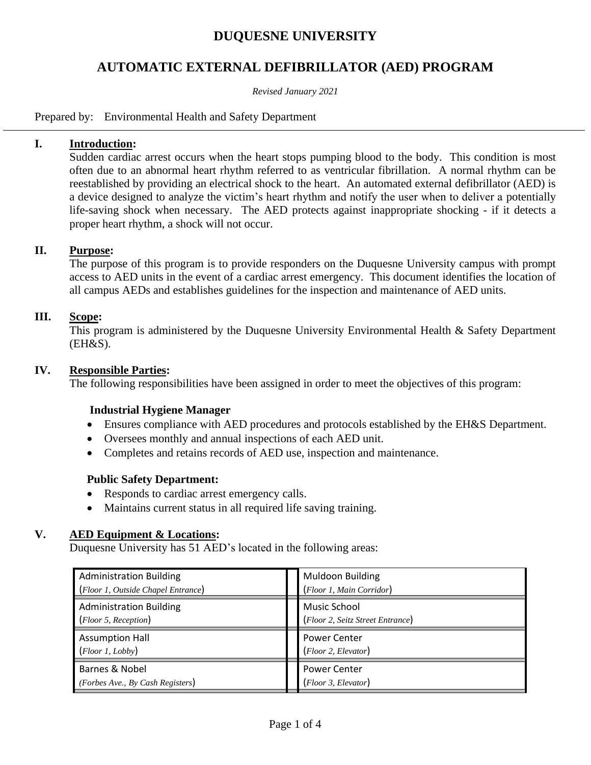# **DUQUESNE UNIVERSITY**

## **AUTOMATIC EXTERNAL DEFIBRILLATOR (AED) PROGRAM**

#### *Revised January 2021*

#### Prepared by: Environmental Health and Safety Department

## **I. Introduction:**

Sudden cardiac arrest occurs when the heart stops pumping blood to the body. This condition is most often due to an abnormal heart rhythm referred to as ventricular fibrillation. A normal rhythm can be reestablished by providing an electrical shock to the heart. An automated external defibrillator (AED) is a device designed to analyze the victim's heart rhythm and notify the user when to deliver a potentially life-saving shock when necessary. The AED protects against inappropriate shocking - if it detects a proper heart rhythm, a shock will not occur.

## **II. Purpose:**

The purpose of this program is to provide responders on the Duquesne University campus with prompt access to AED units in the event of a cardiac arrest emergency. This document identifies the location of all campus AEDs and establishes guidelines for the inspection and maintenance of AED units.

## **III. Scope:**

This program is administered by the Duquesne University Environmental Health & Safety Department (EH&S).

#### **IV. Responsible Parties:**

The following responsibilities have been assigned in order to meet the objectives of this program:

#### **Industrial Hygiene Manager**

- Ensures compliance with AED procedures and protocols established by the EH&S Department.
- Oversees monthly and annual inspections of each AED unit.
- Completes and retains records of AED use, inspection and maintenance.

#### **Public Safety Department:**

- Responds to cardiac arrest emergency calls.
- Maintains current status in all required life saving training.

#### **V. AED Equipment & Locations:**

Duquesne University has 51 AED's located in the following areas:

| <b>Administration Building</b>     | <b>Muldoon Building</b>          |
|------------------------------------|----------------------------------|
| (Floor 1, Outside Chapel Entrance) | (Floor 1, Main Corridor)         |
| <b>Administration Building</b>     | Music School                     |
| ( <i>Floor 5, Reception</i> )      | (Floor 2, Seitz Street Entrance) |
| <b>Assumption Hall</b>             | <b>Power Center</b>              |
| (Floor I, Lobby)                   | (Floor 2, Elevator)              |
| Barnes & Nobel                     | <b>Power Center</b>              |
| (Forbes Ave., By Cash Registers)   | (Floor 3, Elevator)              |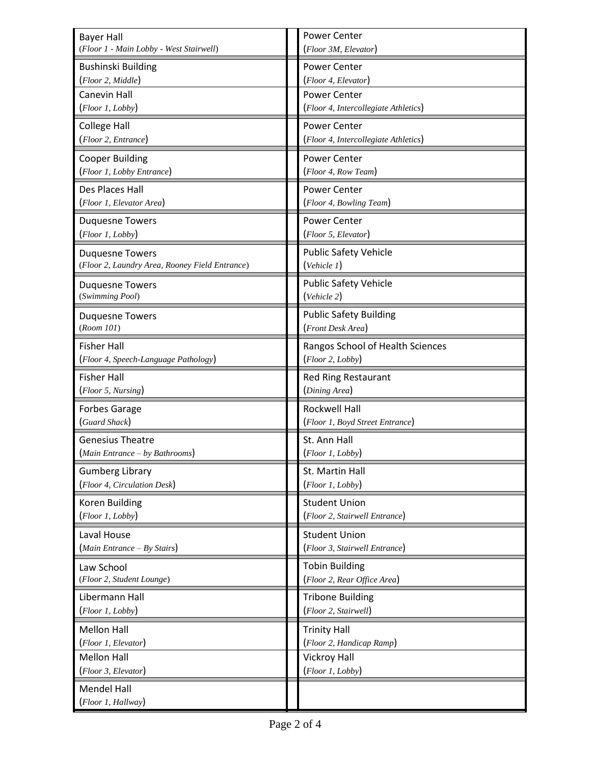| <b>Bayer Hall</b><br>(Floor 1 - Main Lobby - West Stairwell) | <b>Power Center</b><br>(Floor 3M, Elevator)              |
|--------------------------------------------------------------|----------------------------------------------------------|
| <b>Bushinski Building</b>                                    | <b>Power Center</b>                                      |
| ( Floor 2, Middle)                                           | (Floor 4, Elevator)                                      |
| <b>Canevin Hall</b>                                          | <b>Power Center</b>                                      |
| $(Floor\ I, Lobby)$                                          | (Floor 4, Intercollegiate Athletics)                     |
| <b>College Hall</b>                                          | <b>Power Center</b>                                      |
| (Floor 2, Entrance)                                          | (Floor 4, Intercollegiate Athletics)                     |
| <b>Cooper Building</b>                                       | <b>Power Center</b>                                      |
| (Floor 1, Lobby Entrance)                                    | (Floor 4, Row Team)                                      |
| Des Places Hall                                              | <b>Power Center</b>                                      |
| (Floor 1, Elevator Area)                                     | (Floor 4, Bowling Team)                                  |
| <b>Duquesne Towers</b>                                       | <b>Power Center</b>                                      |
| (Floor 1, Lobby)                                             | (Floor 5, Elevator)                                      |
| <b>Duquesne Towers</b>                                       | <b>Public Safety Vehicle</b>                             |
| (Floor 2, Laundry Area, Rooney Field Entrance)               | (Vehicle 1)                                              |
| <b>Duquesne Towers</b>                                       | <b>Public Safety Vehicle</b>                             |
| (Swimming Pool)                                              | (Vehicle 2)                                              |
|                                                              | <b>Public Safety Building</b>                            |
| <b>Duquesne Towers</b><br>(Room 101)                         | (Front Desk Area)                                        |
| <b>Fisher Hall</b>                                           |                                                          |
| (Floor 4, Speech-Language Pathology)                         | Rangos School of Health Sciences<br>$( Floor\ 2, Lobby)$ |
|                                                              |                                                          |
| <b>Fisher Hall</b>                                           | <b>Red Ring Restaurant</b>                               |
| ( Floor 5, Nursing)                                          | (Dining Area)                                            |
| <b>Forbes Garage</b>                                         | <b>Rockwell Hall</b>                                     |
| (Guard Shack)                                                | (Floor 1, Boyd Street Entrance)                          |
| <b>Genesius Theatre</b>                                      | St. Ann Hall                                             |
| (Main Entrance – by Bathrooms)                               | (Floor 1, Lobby)                                         |
| <b>Gumberg Library</b>                                       | St. Martin Hall                                          |
| (Floor 4, Circulation Desk)                                  | ( Floor 1, Lobby)                                        |
| <b>Koren Building</b>                                        | <b>Student Union</b>                                     |
| ( Floor 1, Lobby)                                            | (Floor 2, Stairwell Entrance)                            |
| Laval House                                                  | <b>Student Union</b>                                     |
| (Main Entrance - By Stairs)                                  | (Floor 3, Stairwell Entrance)                            |
|                                                              | <b>Tobin Building</b>                                    |
| Law School<br>(Floor 2, Student Lounge)                      | (Floor 2, Rear Office Area)                              |
|                                                              |                                                          |
| Libermann Hall                                               | <b>Tribone Building</b>                                  |
| (Floor 1, Lobby)                                             | (Floor 2, Stairwell)                                     |
| <b>Mellon Hall</b>                                           | <b>Trinity Hall</b>                                      |
| (Floor 1, Elevator)                                          |                                                          |
|                                                              | (Floor 2, Handicap Ramp)                                 |
| <b>Mellon Hall</b>                                           | <b>Vickroy Hall</b>                                      |
| ( Floor 3, Elevantor)                                        | (Floor 1, Lobby)                                         |
| <b>Mendel Hall</b>                                           |                                                          |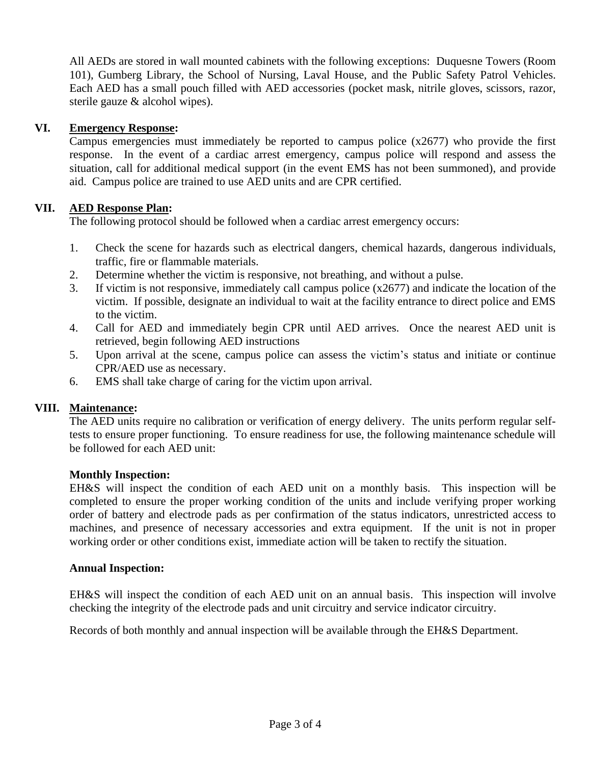All AEDs are stored in wall mounted cabinets with the following exceptions: Duquesne Towers (Room 101), Gumberg Library, the School of Nursing, Laval House, and the Public Safety Patrol Vehicles. Each AED has a small pouch filled with AED accessories (pocket mask, nitrile gloves, scissors, razor, sterile gauze & alcohol wipes).

## **VI. Emergency Response:**

Campus emergencies must immediately be reported to campus police (x2677) who provide the first response. In the event of a cardiac arrest emergency, campus police will respond and assess the situation, call for additional medical support (in the event EMS has not been summoned), and provide aid. Campus police are trained to use AED units and are CPR certified.

## **VII. AED Response Plan:**

The following protocol should be followed when a cardiac arrest emergency occurs:

- 1. Check the scene for hazards such as electrical dangers, chemical hazards, dangerous individuals, traffic, fire or flammable materials.
- 2. Determine whether the victim is responsive, not breathing, and without a pulse.
- 3. If victim is not responsive, immediately call campus police (x2677) and indicate the location of the victim. If possible, designate an individual to wait at the facility entrance to direct police and EMS to the victim.
- 4. Call for AED and immediately begin CPR until AED arrives. Once the nearest AED unit is retrieved, begin following AED instructions
- 5. Upon arrival at the scene, campus police can assess the victim's status and initiate or continue CPR/AED use as necessary.
- 6. EMS shall take charge of caring for the victim upon arrival.

## **VIII. Maintenance:**

The AED units require no calibration or verification of energy delivery. The units perform regular selftests to ensure proper functioning. To ensure readiness for use, the following maintenance schedule will be followed for each AED unit:

#### **Monthly Inspection:**

EH&S will inspect the condition of each AED unit on a monthly basis. This inspection will be completed to ensure the proper working condition of the units and include verifying proper working order of battery and electrode pads as per confirmation of the status indicators, unrestricted access to machines, and presence of necessary accessories and extra equipment. If the unit is not in proper working order or other conditions exist, immediate action will be taken to rectify the situation.

#### **Annual Inspection:**

EH&S will inspect the condition of each AED unit on an annual basis. This inspection will involve checking the integrity of the electrode pads and unit circuitry and service indicator circuitry.

Records of both monthly and annual inspection will be available through the EH&S Department.